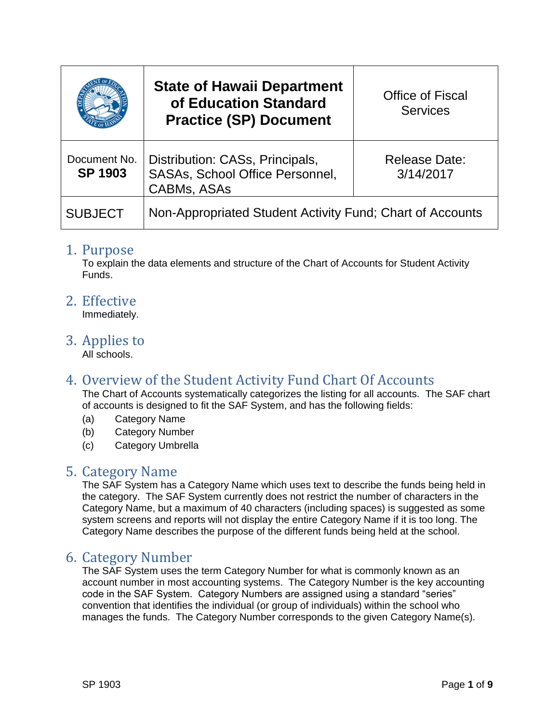|                                | <b>State of Hawaii Department</b><br>of Education Standard<br><b>Practice (SP) Document</b>     | <b>Office of Fiscal</b><br><b>Services</b> |
|--------------------------------|-------------------------------------------------------------------------------------------------|--------------------------------------------|
| Document No.<br><b>SP 1903</b> | Distribution: CASs, Principals,<br><b>SASAs, School Office Personnel,</b><br><b>CABMs, ASAs</b> | <b>Release Date:</b><br>3/14/2017          |
| <b>SUBJECT</b>                 | Non-Appropriated Student Activity Fund; Chart of Accounts                                       |                                            |

#### 1. Purpose

To explain the data elements and structure of the Chart of Accounts for Student Activity Funds.

2. Effective

Immediately.

3. Applies to

All schools.

## 4. Overview of the Student Activity Fund Chart Of Accounts

The Chart of Accounts systematically categorizes the listing for all accounts. The SAF chart of accounts is designed to fit the SAF System, and has the following fields:

- (a) Category Name
- (b) Category Number
- (c) Category Umbrella

#### 5. Category Name

The SAF System has a Category Name which uses text to describe the funds being held in the category. The SAF System currently does not restrict the number of characters in the Category Name, but a maximum of 40 characters (including spaces) is suggested as some system screens and reports will not display the entire Category Name if it is too long. The Category Name describes the purpose of the different funds being held at the school.

#### 6. Category Number

The SAF System uses the term Category Number for what is commonly known as an account number in most accounting systems. The Category Number is the key accounting code in the SAF System. Category Numbers are assigned using a standard "series" convention that identifies the individual (or group of individuals) within the school who manages the funds. The Category Number corresponds to the given Category Name(s).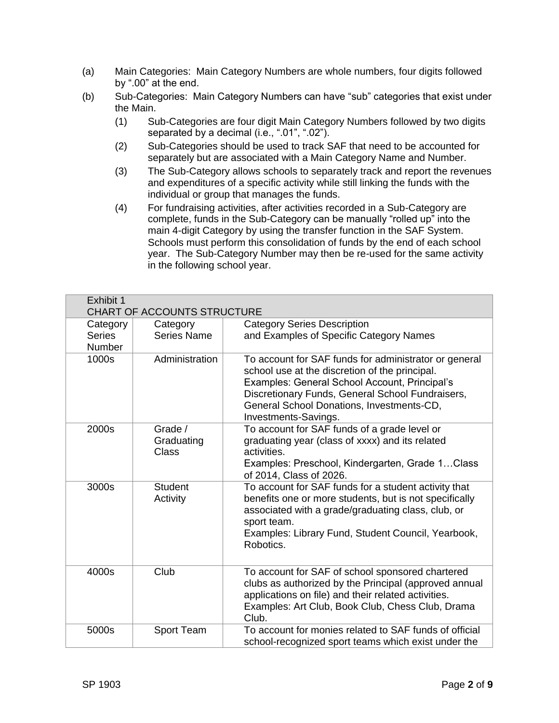- (a) Main Categories: Main Category Numbers are whole numbers, four digits followed by ".00" at the end.
- (b) Sub-Categories: Main Category Numbers can have "sub" categories that exist under the Main.
	- (1) Sub-Categories are four digit Main Category Numbers followed by two digits separated by a decimal (i.e., ".01", ".02").
	- (2) Sub-Categories should be used to track SAF that need to be accounted for separately but are associated with a Main Category Name and Number.
	- (3) The Sub-Category allows schools to separately track and report the revenues and expenditures of a specific activity while still linking the funds with the individual or group that manages the funds.
	- (4) For fundraising activities, after activities recorded in a Sub-Category are complete, funds in the Sub-Category can be manually "rolled up" into the main 4-digit Category by using the transfer function in the SAF System. Schools must perform this consolidation of funds by the end of each school year. The Sub-Category Number may then be re-used for the same activity in the following school year.

| Exhibit 1<br><b>CHART OF ACCOUNTS STRUCTURE</b> |                                |                                                                                                                                                                                                                                                                                   |  |
|-------------------------------------------------|--------------------------------|-----------------------------------------------------------------------------------------------------------------------------------------------------------------------------------------------------------------------------------------------------------------------------------|--|
| Category<br><b>Series</b><br>Number             | Category<br><b>Series Name</b> | <b>Category Series Description</b><br>and Examples of Specific Category Names                                                                                                                                                                                                     |  |
| 1000s                                           | Administration                 | To account for SAF funds for administrator or general<br>school use at the discretion of the principal.<br>Examples: General School Account, Principal's<br>Discretionary Funds, General School Fundraisers,<br>General School Donations, Investments-CD,<br>Investments-Savings. |  |
| 2000s                                           | Grade /<br>Graduating<br>Class | To account for SAF funds of a grade level or<br>graduating year (class of xxxx) and its related<br>activities.<br>Examples: Preschool, Kindergarten, Grade 1Class<br>of 2014, Class of 2026.                                                                                      |  |
| 3000s                                           | <b>Student</b><br>Activity     | To account for SAF funds for a student activity that<br>benefits one or more students, but is not specifically<br>associated with a grade/graduating class, club, or<br>sport team.<br>Examples: Library Fund, Student Council, Yearbook,<br>Robotics.                            |  |
| 4000s                                           | Club                           | To account for SAF of school sponsored chartered<br>clubs as authorized by the Principal (approved annual<br>applications on file) and their related activities.<br>Examples: Art Club, Book Club, Chess Club, Drama<br>Club.                                                     |  |
| 5000s                                           | Sport Team                     | To account for monies related to SAF funds of official<br>school-recognized sport teams which exist under the                                                                                                                                                                     |  |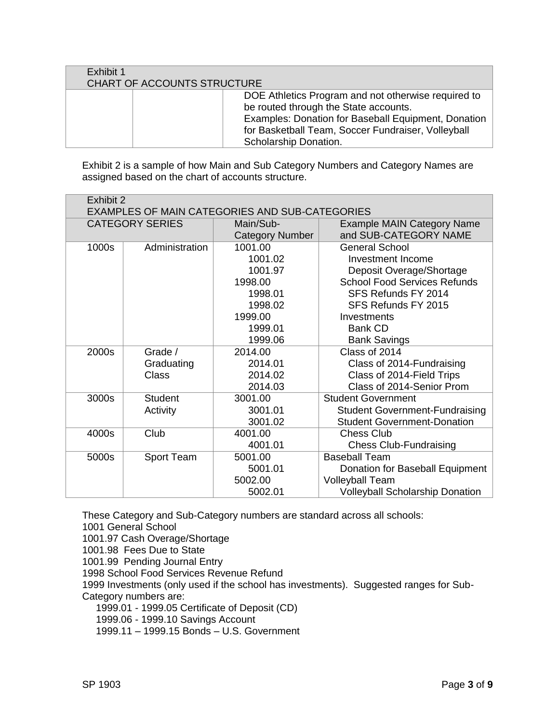| Exhibit 1                   |                                                     |
|-----------------------------|-----------------------------------------------------|
| CHART OF ACCOUNTS STRUCTURE |                                                     |
|                             | DOE Athletics Program and not otherwise required to |
|                             | be routed through the State accounts.               |
|                             | Examples: Donation for Baseball Equipment, Donation |
|                             | for Basketball Team, Soccer Fundraiser, Volleyball  |
|                             | Scholarship Donation.                               |

Exhibit 2 is a sample of how Main and Sub Category Numbers and Category Names are assigned based on the chart of accounts structure.

| Exhibit 2<br>EXAMPLES OF MAIN CATEGORIES AND SUB-CATEGORIES |                |                        |                                        |  |
|-------------------------------------------------------------|----------------|------------------------|----------------------------------------|--|
| <b>CATEGORY SERIES</b>                                      |                | Main/Sub-              | <b>Example MAIN Category Name</b>      |  |
|                                                             |                | <b>Category Number</b> | and SUB-CATEGORY NAME                  |  |
| 1000s                                                       | Administration | 1001.00                | <b>General School</b>                  |  |
|                                                             |                | 1001.02                | Investment Income                      |  |
|                                                             |                | 1001.97                | Deposit Overage/Shortage               |  |
|                                                             |                | 1998.00                | <b>School Food Services Refunds</b>    |  |
|                                                             |                | 1998.01                | SFS Refunds FY 2014                    |  |
|                                                             |                | 1998.02                | SFS Refunds FY 2015                    |  |
|                                                             |                | 1999.00                | Investments                            |  |
|                                                             |                | 1999.01                | <b>Bank CD</b>                         |  |
|                                                             |                | 1999.06                | <b>Bank Savings</b>                    |  |
| 2000s                                                       | Grade /        | 2014.00                | Class of 2014                          |  |
|                                                             | Graduating     | 2014.01                | Class of 2014-Fundraising              |  |
|                                                             | <b>Class</b>   | 2014.02                | Class of 2014-Field Trips              |  |
|                                                             |                | 2014.03                | Class of 2014-Senior Prom              |  |
| 3000s                                                       | <b>Student</b> | 3001.00                | <b>Student Government</b>              |  |
|                                                             | Activity       | 3001.01                | <b>Student Government-Fundraising</b>  |  |
|                                                             |                | 3001.02                | <b>Student Government-Donation</b>     |  |
| 4000s                                                       | Club           | 4001.00                | <b>Chess Club</b>                      |  |
|                                                             |                | 4001.01                | <b>Chess Club-Fundraising</b>          |  |
| 5000s                                                       | Sport Team     | 5001.00                | <b>Baseball Team</b>                   |  |
|                                                             |                | 5001.01                | Donation for Baseball Equipment        |  |
|                                                             |                | 5002.00                | <b>Volleyball Team</b>                 |  |
|                                                             |                | 5002.01                | <b>Volleyball Scholarship Donation</b> |  |

These Category and Sub-Category numbers are standard across all schools:

1001 General School

1001.97 Cash Overage/Shortage

1001.98 Fees Due to State

1001.99 Pending Journal Entry

1998 School Food Services Revenue Refund

1999 Investments (only used if the school has investments). Suggested ranges for Sub-Category numbers are:

1999.01 - 1999.05 Certificate of Deposit (CD)

1999.06 - 1999.10 Savings Account

1999.11 – 1999.15 Bonds – U.S. Government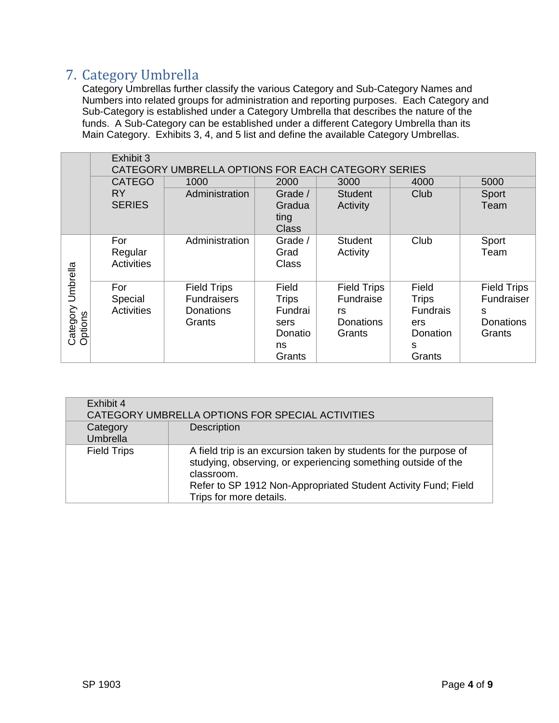# 7. Category Umbrella

Category Umbrellas further classify the various Category and Sub-Category Names and Numbers into related groups for administration and reporting purposes. Each Category and Sub-Category is established under a Category Umbrella that describes the nature of the funds. A Sub-Category can be established under a different Category Umbrella than its Main Category. Exhibits 3, 4, and 5 list and define the available Category Umbrellas.

|                                 | Exhibit 3                    | CATEGORY UMBRELLA OPTIONS FOR EACH CATEGORY SERIES                     |                                                                     |                                                                     |                                                                     |                                                                     |
|---------------------------------|------------------------------|------------------------------------------------------------------------|---------------------------------------------------------------------|---------------------------------------------------------------------|---------------------------------------------------------------------|---------------------------------------------------------------------|
|                                 | <b>CATEGO</b>                | 1000                                                                   | 2000                                                                | 3000                                                                | 4000                                                                | 5000                                                                |
|                                 | <b>RY</b><br><b>SERIES</b>   | Administration                                                         | Grade /<br>Gradua<br>ting<br><b>Class</b>                           | <b>Student</b><br>Activity                                          | Club                                                                | Sport<br>Team                                                       |
|                                 | For<br>Regular<br>Activities | Administration                                                         | Grade /<br>Grad<br><b>Class</b>                                     | <b>Student</b><br>Activity                                          | Club                                                                | Sport<br>Team                                                       |
| Umbrella<br>Category<br>Options | For<br>Special<br>Activities | <b>Field Trips</b><br><b>Fundraisers</b><br><b>Donations</b><br>Grants | Field<br><b>Trips</b><br>Fundrai<br>sers<br>Donatio<br>ns<br>Grants | <b>Field Trips</b><br>Fundraise<br>rs<br><b>Donations</b><br>Grants | Field<br><b>Trips</b><br>Fundrais<br>ers<br>Donation<br>S<br>Grants | <b>Field Trips</b><br>Fundraiser<br>S<br><b>Donations</b><br>Grants |

| Exhibit 4            | CATEGORY UMBRELLA OPTIONS FOR SPECIAL ACTIVITIES                                                                                                                                                                                              |
|----------------------|-----------------------------------------------------------------------------------------------------------------------------------------------------------------------------------------------------------------------------------------------|
| Category<br>Umbrella | <b>Description</b>                                                                                                                                                                                                                            |
| <b>Field Trips</b>   | A field trip is an excursion taken by students for the purpose of<br>studying, observing, or experiencing something outside of the<br>classroom.<br>Refer to SP 1912 Non-Appropriated Student Activity Fund; Field<br>Trips for more details. |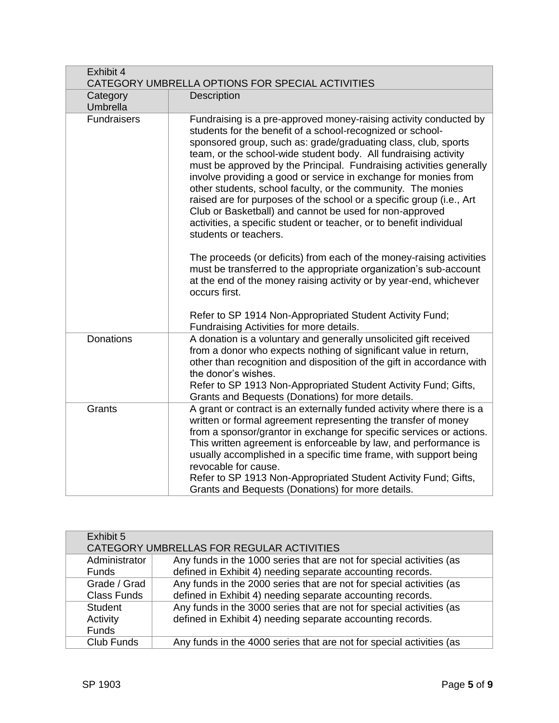| Exhibit 4<br>CATEGORY UMBRELLA OPTIONS FOR SPECIAL ACTIVITIES |                                                                                                                                                                                                                                                                                                                                                                                                                                                                                                                                                                                                                                                                                                                   |  |
|---------------------------------------------------------------|-------------------------------------------------------------------------------------------------------------------------------------------------------------------------------------------------------------------------------------------------------------------------------------------------------------------------------------------------------------------------------------------------------------------------------------------------------------------------------------------------------------------------------------------------------------------------------------------------------------------------------------------------------------------------------------------------------------------|--|
| Category<br>Umbrella                                          | Description                                                                                                                                                                                                                                                                                                                                                                                                                                                                                                                                                                                                                                                                                                       |  |
| <b>Fundraisers</b>                                            | Fundraising is a pre-approved money-raising activity conducted by<br>students for the benefit of a school-recognized or school-<br>sponsored group, such as: grade/graduating class, club, sports<br>team, or the school-wide student body. All fundraising activity<br>must be approved by the Principal. Fundraising activities generally<br>involve providing a good or service in exchange for monies from<br>other students, school faculty, or the community. The monies<br>raised are for purposes of the school or a specific group (i.e., Art<br>Club or Basketball) and cannot be used for non-approved<br>activities, a specific student or teacher, or to benefit individual<br>students or teachers. |  |
|                                                               | The proceeds (or deficits) from each of the money-raising activities<br>must be transferred to the appropriate organization's sub-account<br>at the end of the money raising activity or by year-end, whichever<br>occurs first.<br>Refer to SP 1914 Non-Appropriated Student Activity Fund;                                                                                                                                                                                                                                                                                                                                                                                                                      |  |
|                                                               | Fundraising Activities for more details.                                                                                                                                                                                                                                                                                                                                                                                                                                                                                                                                                                                                                                                                          |  |
| <b>Donations</b>                                              | A donation is a voluntary and generally unsolicited gift received<br>from a donor who expects nothing of significant value in return,<br>other than recognition and disposition of the gift in accordance with<br>the donor's wishes.<br>Refer to SP 1913 Non-Appropriated Student Activity Fund; Gifts,<br>Grants and Bequests (Donations) for more details.                                                                                                                                                                                                                                                                                                                                                     |  |
| Grants                                                        | A grant or contract is an externally funded activity where there is a<br>written or formal agreement representing the transfer of money<br>from a sponsor/grantor in exchange for specific services or actions.<br>This written agreement is enforceable by law, and performance is<br>usually accomplished in a specific time frame, with support being<br>revocable for cause.<br>Refer to SP 1913 Non-Appropriated Student Activity Fund; Gifts,<br>Grants and Bequests (Donations) for more details.                                                                                                                                                                                                          |  |

| Exhibit 5          |                                                                      |
|--------------------|----------------------------------------------------------------------|
|                    | CATEGORY UMBRELLAS FOR REGULAR ACTIVITIES                            |
| Administrator      | Any funds in the 1000 series that are not for special activities (as |
| <b>Funds</b>       | defined in Exhibit 4) needing separate accounting records.           |
| Grade / Grad       | Any funds in the 2000 series that are not for special activities (as |
| <b>Class Funds</b> | defined in Exhibit 4) needing separate accounting records.           |
| <b>Student</b>     | Any funds in the 3000 series that are not for special activities (as |
| Activity           | defined in Exhibit 4) needing separate accounting records.           |
| <b>Funds</b>       |                                                                      |
| Club Funds         | Any funds in the 4000 series that are not for special activities (as |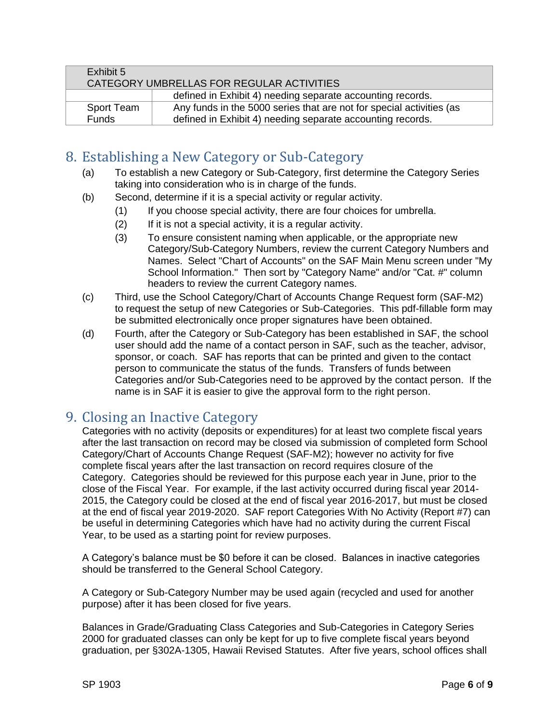| Exhibit 5    |                                                                      |
|--------------|----------------------------------------------------------------------|
|              | CATEGORY UMBRELLAS FOR REGULAR ACTIVITIES                            |
|              | defined in Exhibit 4) needing separate accounting records.           |
| Sport Team   | Any funds in the 5000 series that are not for special activities (as |
| <b>Funds</b> | defined in Exhibit 4) needing separate accounting records.           |

# 8. Establishing a New Category or Sub-Category

- (a) To establish a new Category or Sub-Category, first determine the Category Series taking into consideration who is in charge of the funds.
- (b) Second, determine if it is a special activity or regular activity.
	- (1) If you choose special activity, there are four choices for umbrella.
	- (2) If it is not a special activity, it is a regular activity.
	- (3) To ensure consistent naming when applicable, or the appropriate new Category/Sub-Category Numbers, review the current Category Numbers and Names. Select "Chart of Accounts" on the SAF Main Menu screen under "My School Information." Then sort by "Category Name" and/or "Cat. #" column headers to review the current Category names.
- (c) Third, use the School Category/Chart of Accounts Change Request form (SAF-M2) to request the setup of new Categories or Sub-Categories. This pdf-fillable form may be submitted electronically once proper signatures have been obtained.
- (d) Fourth, after the Category or Sub-Category has been established in SAF, the school user should add the name of a contact person in SAF, such as the teacher, advisor, sponsor, or coach. SAF has reports that can be printed and given to the contact person to communicate the status of the funds. Transfers of funds between Categories and/or Sub-Categories need to be approved by the contact person. If the name is in SAF it is easier to give the approval form to the right person.

# 9. Closing an Inactive Category

Categories with no activity (deposits or expenditures) for at least two complete fiscal years after the last transaction on record may be closed via submission of completed form School Category/Chart of Accounts Change Request (SAF-M2); however no activity for five complete fiscal years after the last transaction on record requires closure of the Category. Categories should be reviewed for this purpose each year in June, prior to the close of the Fiscal Year. For example, if the last activity occurred during fiscal year 2014- 2015, the Category could be closed at the end of fiscal year 2016-2017, but must be closed at the end of fiscal year 2019-2020. SAF report Categories With No Activity (Report #7) can be useful in determining Categories which have had no activity during the current Fiscal Year, to be used as a starting point for review purposes.

A Category's balance must be \$0 before it can be closed. Balances in inactive categories should be transferred to the General School Category.

A Category or Sub-Category Number may be used again (recycled and used for another purpose) after it has been closed for five years.

Balances in Grade/Graduating Class Categories and Sub-Categories in Category Series 2000 for graduated classes can only be kept for up to five complete fiscal years beyond graduation, per §302A-1305, Hawaii Revised Statutes. After five years, school offices shall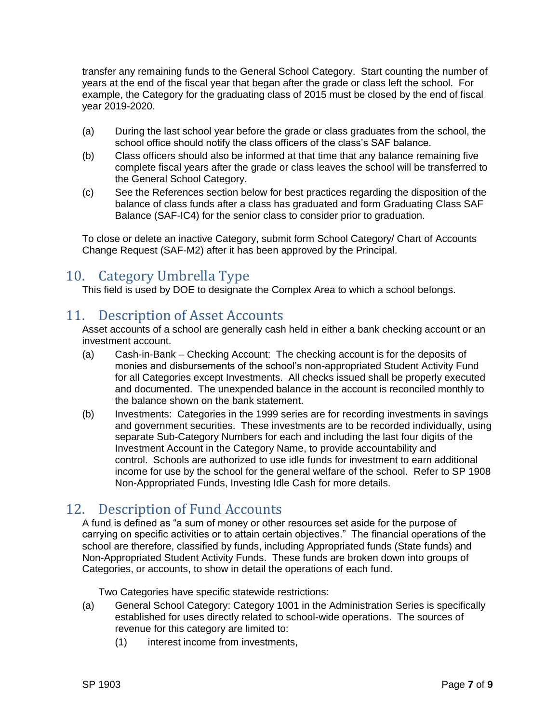transfer any remaining funds to the General School Category. Start counting the number of years at the end of the fiscal year that began after the grade or class left the school. For example, the Category for the graduating class of 2015 must be closed by the end of fiscal year 2019-2020.

- (a) During the last school year before the grade or class graduates from the school, the school office should notify the class officers of the class's SAF balance.
- (b) Class officers should also be informed at that time that any balance remaining five complete fiscal years after the grade or class leaves the school will be transferred to the General School Category.
- (c) See the References section below for best practices regarding the disposition of the balance of class funds after a class has graduated and form Graduating Class SAF Balance (SAF-IC4) for the senior class to consider prior to graduation.

To close or delete an inactive Category, submit form School Category/ Chart of Accounts Change Request (SAF-M2) after it has been approved by the Principal.

## 10. Category Umbrella Type

This field is used by DOE to designate the Complex Area to which a school belongs.

## 11. Description of Asset Accounts

Asset accounts of a school are generally cash held in either a bank checking account or an investment account.

- (a) Cash-in-Bank Checking Account: The checking account is for the deposits of monies and disbursements of the school's non-appropriated Student Activity Fund for all Categories except Investments. All checks issued shall be properly executed and documented. The unexpended balance in the account is reconciled monthly to the balance shown on the bank statement.
- (b) Investments: Categories in the 1999 series are for recording investments in savings and government securities. These investments are to be recorded individually, using separate Sub-Category Numbers for each and including the last four digits of the Investment Account in the Category Name, to provide accountability and control. Schools are authorized to use idle funds for investment to earn additional income for use by the school for the general welfare of the school. Refer to SP 1908 Non-Appropriated Funds, Investing Idle Cash for more details.

## 12. Description of Fund Accounts

A fund is defined as "a sum of money or other resources set aside for the purpose of carrying on specific activities or to attain certain objectives." The financial operations of the school are therefore, classified by funds, including Appropriated funds (State funds) and Non-Appropriated Student Activity Funds. These funds are broken down into groups of Categories, or accounts, to show in detail the operations of each fund.

Two Categories have specific statewide restrictions:

- (a) General School Category: Category 1001 in the Administration Series is specifically established for uses directly related to school-wide operations. The sources of revenue for this category are limited to:
	- (1) interest income from investments,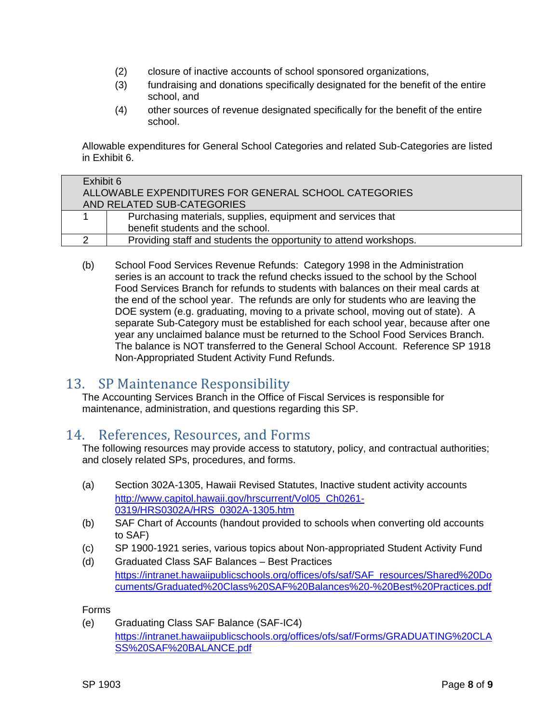- (2) closure of inactive accounts of school sponsored organizations,
- (3) fundraising and donations specifically designated for the benefit of the entire school, and
- (4) other sources of revenue designated specifically for the benefit of the entire school.

Allowable expenditures for General School Categories and related Sub-Categories are listed in Exhibit 6.

| Exhibit 6                                                         |  |  |
|-------------------------------------------------------------------|--|--|
| ALLOWABLE EXPENDITURES FOR GENERAL SCHOOL CATEGORIES              |  |  |
| AND RELATED SUB-CATEGORIES                                        |  |  |
| Purchasing materials, supplies, equipment and services that       |  |  |
| benefit students and the school.                                  |  |  |
| Providing staff and students the opportunity to attend workshops. |  |  |

(b) School Food Services Revenue Refunds: Category 1998 in the Administration series is an account to track the refund checks issued to the school by the School Food Services Branch for refunds to students with balances on their meal cards at the end of the school year. The refunds are only for students who are leaving the DOE system (e.g. graduating, moving to a private school, moving out of state). A separate Sub-Category must be established for each school year, because after one year any unclaimed balance must be returned to the School Food Services Branch. The balance is NOT transferred to the General School Account. Reference SP 1918 Non-Appropriated Student Activity Fund Refunds.

## 13. SP Maintenance Responsibility

The Accounting Services Branch in the Office of Fiscal Services is responsible for maintenance, administration, and questions regarding this SP.

#### 14. References, Resources, and Forms

The following resources may provide access to statutory, policy, and contractual authorities; and closely related SPs, procedures, and forms.

- (a) Section 302A-1305, Hawaii Revised Statutes, Inactive student activity accounts [http://www.capitol.hawaii.gov/hrscurrent/Vol05\\_Ch0261-](http://www.capitol.hawaii.gov/hrscurrent/Vol05_Ch0261-0319/HRS0302A/HRS_0302A-1305.htm) [0319/HRS0302A/HRS\\_0302A-1305.htm](http://www.capitol.hawaii.gov/hrscurrent/Vol05_Ch0261-0319/HRS0302A/HRS_0302A-1305.htm)
- (b) SAF Chart of Accounts (handout provided to schools when converting old accounts to SAF)
- (c) SP 1900-1921 series, various topics about Non-appropriated Student Activity Fund
- (d) Graduated Class SAF Balances Best Practices [https://intranet.hawaiipublicschools.org/offices/ofs/saf/SAF\\_resources/Shared%20Do](https://intranet.hawaiipublicschools.org/offices/ofs/saf/SAF_resources/Shared%20Documents/Graduated%20Class%20SAF%20Balances%20-%20Best%20Practices.pdf) [cuments/Graduated%20Class%20SAF%20Balances%20-%20Best%20Practices.pdf](https://intranet.hawaiipublicschools.org/offices/ofs/saf/SAF_resources/Shared%20Documents/Graduated%20Class%20SAF%20Balances%20-%20Best%20Practices.pdf)

#### Forms

(e) Graduating Class SAF Balance (SAF-IC4) [https://intranet.hawaiipublicschools.org/offices/ofs/saf/Forms/GRADUATING%20CLA](https://intranet.hawaiipublicschools.org/offices/ofs/saf/Forms/GRADUATING%20CLASS%20SAF%20BALANCE.pdf) [SS%20SAF%20BALANCE.pdf](https://intranet.hawaiipublicschools.org/offices/ofs/saf/Forms/GRADUATING%20CLASS%20SAF%20BALANCE.pdf)